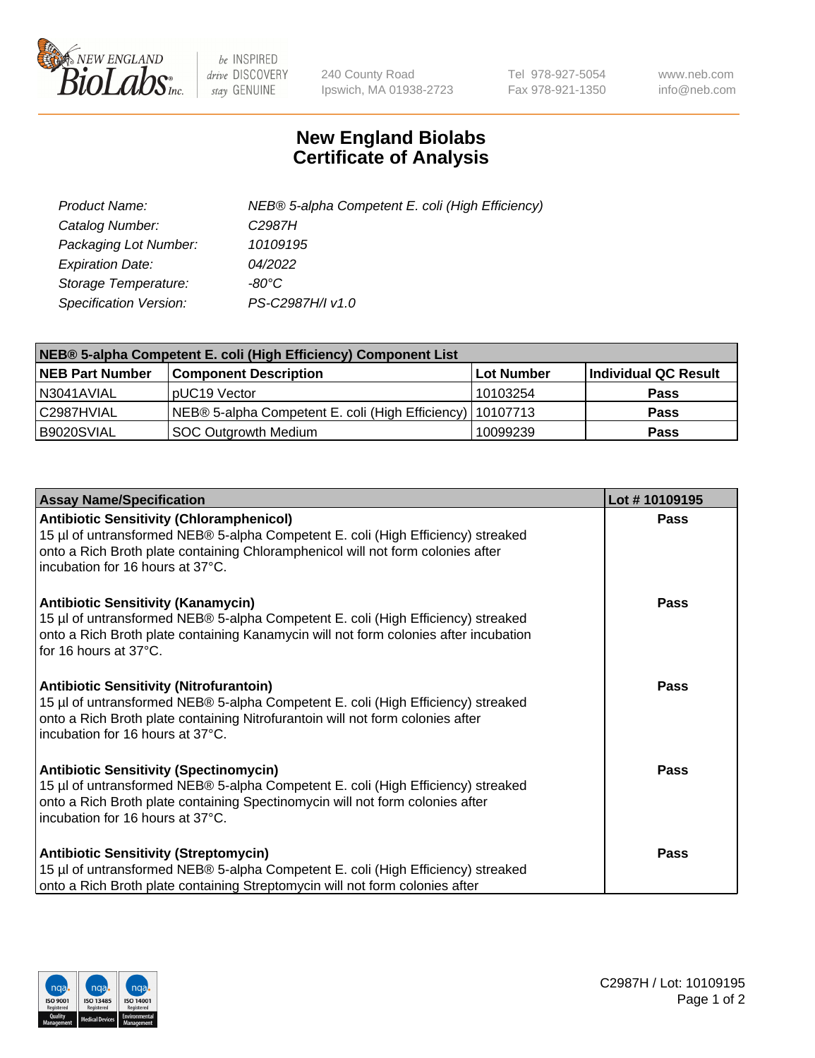

 $be$  INSPIRED drive DISCOVERY stay GENUINE

240 County Road Ipswich, MA 01938-2723 Tel 978-927-5054 Fax 978-921-1350 www.neb.com info@neb.com

## **New England Biolabs Certificate of Analysis**

| Product Name:           | NEB® 5-alpha Competent E. coli (High Efficiency) |
|-------------------------|--------------------------------------------------|
| Catalog Number:         | C <sub>2987</sub> H                              |
| Packaging Lot Number:   | 10109195                                         |
| <b>Expiration Date:</b> | 04/2022                                          |
| Storage Temperature:    | -80°C                                            |
| Specification Version:  | PS-C2987H/I v1.0                                 |

| NEB® 5-alpha Competent E. coli (High Efficiency) Component List |                                                             |            |                      |  |
|-----------------------------------------------------------------|-------------------------------------------------------------|------------|----------------------|--|
| <b>NEB Part Number</b>                                          | <b>Component Description</b>                                | Lot Number | Individual QC Result |  |
| N3041AVIAL                                                      | pUC19 Vector                                                | 10103254   | <b>Pass</b>          |  |
| C2987HVIAL                                                      | NEB® 5-alpha Competent E. coli (High Efficiency)   10107713 |            | <b>Pass</b>          |  |
| B9020SVIAL                                                      | <b>SOC Outgrowth Medium</b>                                 | 10099239   | <b>Pass</b>          |  |

| <b>Assay Name/Specification</b>                                                                                                                                                                                                                            | Lot #10109195 |
|------------------------------------------------------------------------------------------------------------------------------------------------------------------------------------------------------------------------------------------------------------|---------------|
| <b>Antibiotic Sensitivity (Chloramphenicol)</b><br>15 µl of untransformed NEB® 5-alpha Competent E. coli (High Efficiency) streaked<br>onto a Rich Broth plate containing Chloramphenicol will not form colonies after<br>incubation for 16 hours at 37°C. | Pass          |
| <b>Antibiotic Sensitivity (Kanamycin)</b><br>15 µl of untransformed NEB® 5-alpha Competent E. coli (High Efficiency) streaked<br>onto a Rich Broth plate containing Kanamycin will not form colonies after incubation<br>for 16 hours at 37°C.             | Pass          |
| <b>Antibiotic Sensitivity (Nitrofurantoin)</b><br>15 µl of untransformed NEB® 5-alpha Competent E. coli (High Efficiency) streaked<br>onto a Rich Broth plate containing Nitrofurantoin will not form colonies after<br>incubation for 16 hours at 37°C.   | <b>Pass</b>   |
| <b>Antibiotic Sensitivity (Spectinomycin)</b><br>15 µl of untransformed NEB® 5-alpha Competent E. coli (High Efficiency) streaked<br>onto a Rich Broth plate containing Spectinomycin will not form colonies after<br>incubation for 16 hours at 37°C.     | <b>Pass</b>   |
| <b>Antibiotic Sensitivity (Streptomycin)</b><br>15 µl of untransformed NEB® 5-alpha Competent E. coli (High Efficiency) streaked<br>onto a Rich Broth plate containing Streptomycin will not form colonies after                                           | Pass          |